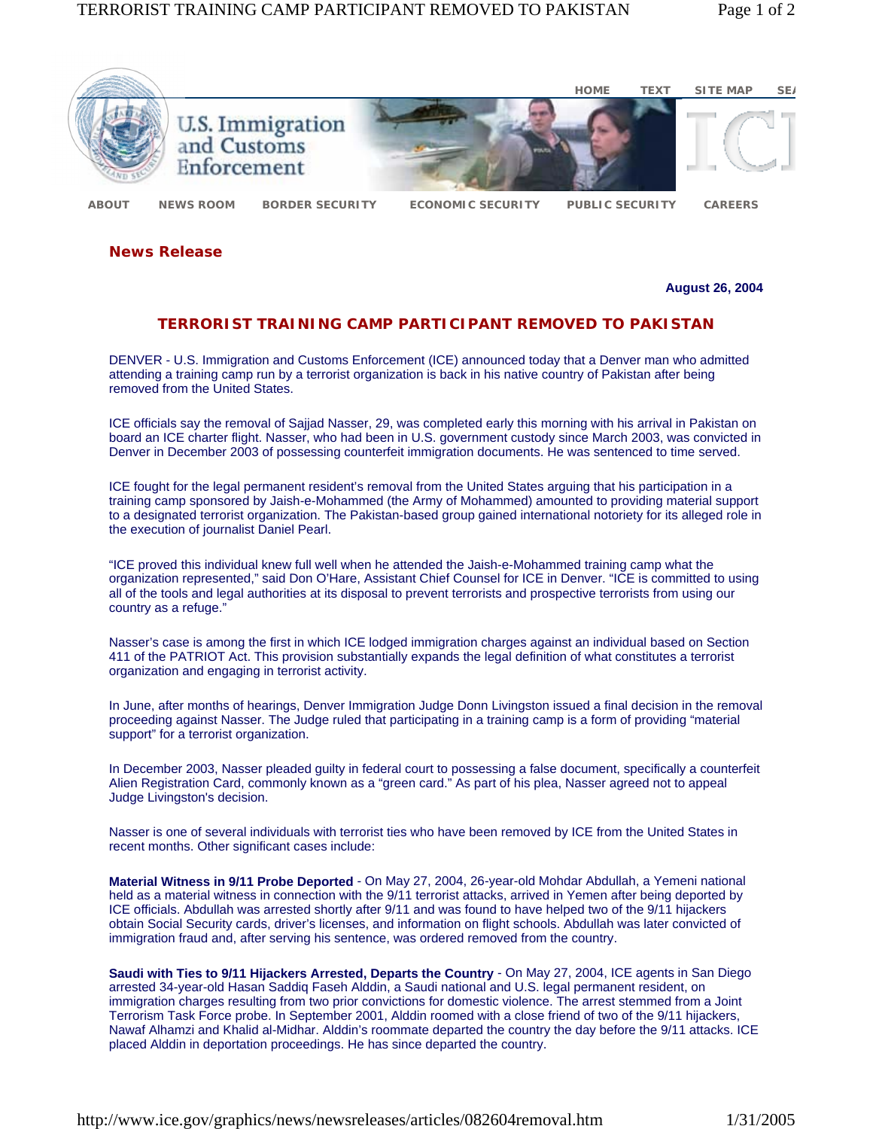

**News Release** 

**August 26, 2004**

## **TERRORIST TRAINING CAMP PARTICIPANT REMOVED TO PAKISTAN**

DENVER - U.S. Immigration and Customs Enforcement (ICE) announced today that a Denver man who admitted attending a training camp run by a terrorist organization is back in his native country of Pakistan after being removed from the United States.

ICE officials say the removal of Sajjad Nasser, 29, was completed early this morning with his arrival in Pakistan on board an ICE charter flight. Nasser, who had been in U.S. government custody since March 2003, was convicted in Denver in December 2003 of possessing counterfeit immigration documents. He was sentenced to time served.

ICE fought for the legal permanent resident's removal from the United States arguing that his participation in a training camp sponsored by Jaish-e-Mohammed (the Army of Mohammed) amounted to providing material support to a designated terrorist organization. The Pakistan-based group gained international notoriety for its alleged role in the execution of journalist Daniel Pearl.

"ICE proved this individual knew full well when he attended the Jaish-e-Mohammed training camp what the organization represented," said Don O'Hare, Assistant Chief Counsel for ICE in Denver. "ICE is committed to using all of the tools and legal authorities at its disposal to prevent terrorists and prospective terrorists from using our country as a refuge."

Nasser's case is among the first in which ICE lodged immigration charges against an individual based on Section 411 of the PATRIOT Act. This provision substantially expands the legal definition of what constitutes a terrorist organization and engaging in terrorist activity.

In June, after months of hearings, Denver Immigration Judge Donn Livingston issued a final decision in the removal proceeding against Nasser. The Judge ruled that participating in a training camp is a form of providing "material support" for a terrorist organization.

In December 2003, Nasser pleaded guilty in federal court to possessing a false document, specifically a counterfeit Alien Registration Card, commonly known as a "green card." As part of his plea, Nasser agreed not to appeal Judge Livingston's decision.

Nasser is one of several individuals with terrorist ties who have been removed by ICE from the United States in recent months. Other significant cases include:

**Material Witness in 9/11 Probe Deported** - On May 27, 2004, 26-year-old Mohdar Abdullah, a Yemeni national held as a material witness in connection with the 9/11 terrorist attacks, arrived in Yemen after being deported by ICE officials. Abdullah was arrested shortly after 9/11 and was found to have helped two of the 9/11 hijackers obtain Social Security cards, driver's licenses, and information on flight schools. Abdullah was later convicted of immigration fraud and, after serving his sentence, was ordered removed from the country.

**Saudi with Ties to 9/11 Hijackers Arrested, Departs the Country** - On May 27, 2004, ICE agents in San Diego arrested 34-year-old Hasan Saddiq Faseh Alddin, a Saudi national and U.S. legal permanent resident, on immigration charges resulting from two prior convictions for domestic violence. The arrest stemmed from a Joint Terrorism Task Force probe. In September 2001, Alddin roomed with a close friend of two of the 9/11 hijackers, Nawaf Alhamzi and Khalid al-Midhar. Alddin's roommate departed the country the day before the 9/11 attacks. ICE placed Alddin in deportation proceedings. He has since departed the country.